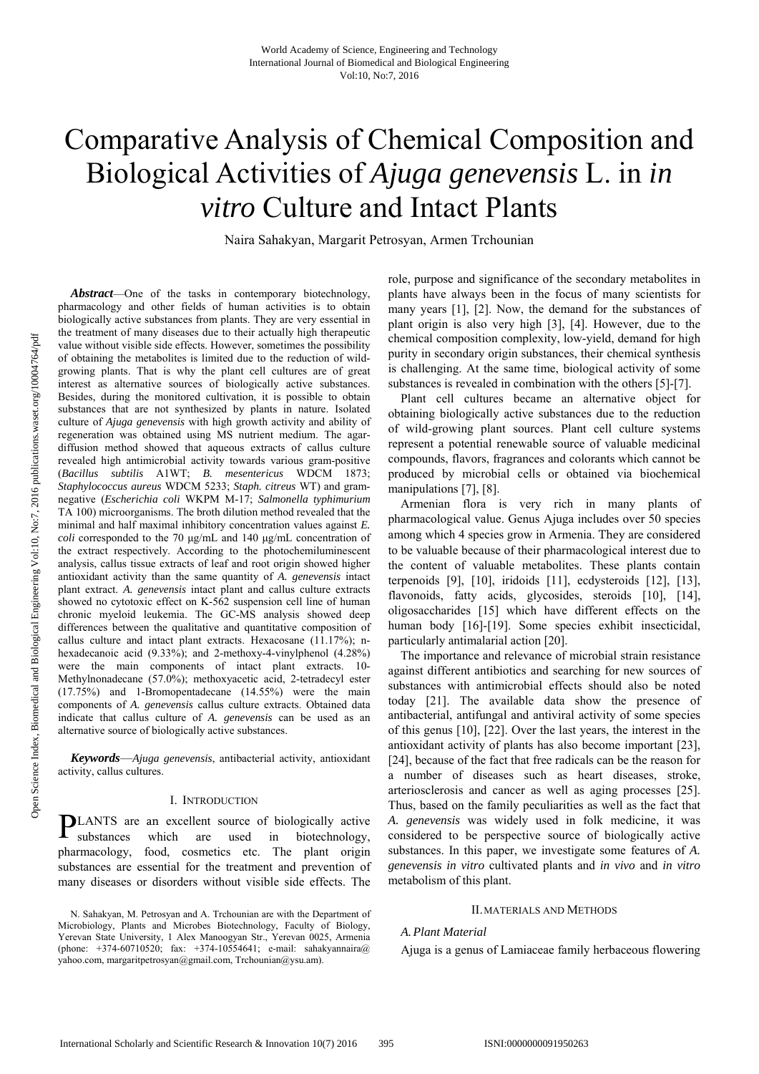# Comparative Analysis of Chemical Composition and Biological Activities of *Ajuga genevensis* L. in *in vitro* Culture and Intact Plants

Naira Sahakyan, Margarit Petrosyan, Armen Trchounian

*Abstract*—One of the tasks in contemporary biotechnology, pharmacology and other fields of human activities is to obtain biologically active substances from plants. They are very essential in the treatment of many diseases due to their actually high therapeutic value without visible side effects. However, sometimes the possibility of obtaining the metabolites is limited due to the reduction of wildgrowing plants. That is why the plant cell cultures are of great interest as alternative sources of biologically active substances. Besides, during the monitored cultivation, it is possible to obtain substances that are not synthesized by plants in nature. Isolated culture of *Ajuga genevensis* with high growth activity and ability of regeneration was obtained using MS nutrient medium. The agardiffusion method showed that aqueous extracts of callus culture revealed high antimicrobial activity towards various gram-positive (*Bacillus subtilis* A1WT; *B. mesentericus* WDCM 1873; *Staphylococcus aureus* WDCM 5233; *Staph. citreus* WT) and gramnegative (*Escherichia coli* WKPM M-17; *Salmonella typhimurium* TA 100) microorganisms. The broth dilution method revealed that the minimal and half maximal inhibitory concentration values against *E. coli* corresponded to the 70 μg/mL and 140 μg/mL concentration of the extract respectively. According to the photochemiluminescent analysis, callus tissue extracts of leaf and root origin showed higher antioxidant activity than the same quantity of *A. genevensis* intact plant extract. *A. genevensis* intact plant and callus culture extracts showed no cytotoxic effect on K-562 suspension cell line of human chronic myeloid leukemia. The GC-MS analysis showed deep differences between the qualitative and quantitative composition of callus culture and intact plant extracts. Hexacosane (11.17%); nhexadecanoic acid (9.33%); and 2-methoxy-4-vinylphenol (4.28%) were the main components of intact plant extracts. 10- Methylnonadecane (57.0%); methoxyacetic acid, 2-tetradecyl ester (17.75%) and 1-Bromopentadecane (14.55%) were the main components of *A. genevensis* callus culture extracts. Obtained data indicate that callus culture of *A. genevensis* can be used as an alternative source of biologically active substances.

*Keywords*—*Ajuga genevensis*, antibacterial activity, antioxidant activity, callus cultures.

#### I. INTRODUCTION

**PLANTS** are an excellent source of biologically active substances which are used in biotechnology, substances which are used in biotechnology, pharmacology, food, cosmetics etc. The plant origin substances are essential for the treatment and prevention of many diseases or disorders without visible side effects. The

role, purpose and significance of the secondary metabolites in plants have always been in the focus of many scientists for many years [1], [2]. Now, the demand for the substances of plant origin is also very high [3], [4]. However, due to the chemical composition complexity, low-yield, demand for high purity in secondary origin substances, their chemical synthesis is challenging. At the same time, biological activity of some substances is revealed in combination with the others [5]-[7].

Plant cell cultures became an alternative object for obtaining biologically active substances due to the reduction of wild-growing plant sources. Plant cell culture systems represent a potential renewable source of valuable medicinal compounds, flavors, fragrances and colorants which cannot be produced by microbial cells or obtained via biochemical manipulations [7], [8].

Armenian flora is very rich in many plants of pharmacological value. Genus Ajuga includes over 50 species among which 4 species grow in Armenia. They are considered to be valuable because of their pharmacological interest due to the content of valuable metabolites. These plants contain terpenoids [9], [10], iridoids [11], ecdysteroids [12], [13], flavonoids, fatty acids, glycosides, steroids [10], [14], oligosaccharides [15] which have different effects on the human body [16]-[19]. Some species exhibit insecticidal, particularly antimalarial action [20].

The importance and relevance of microbial strain resistance against different antibiotics and searching for new sources of substances with antimicrobial effects should also be noted today [21]. The available data show the presence of antibacterial, antifungal and antiviral activity of some species of this genus [10], [22]. Over the last years, the interest in the antioxidant activity of plants has also become important [23], [24], because of the fact that free radicals can be the reason for a number of diseases such as heart diseases, stroke, arteriosclerosis and cancer as well as aging processes [25]. Thus, based on the family peculiarities as well as the fact that *A. genevensis* was widely used in folk medicine, it was considered to be perspective source of biologically active substances. In this paper, we investigate some features of *A. genevensis in vitro* cultivated plants and *in vivo* and *in vitro* metabolism of this plant.

#### II.MATERIALS AND METHODS

#### *A.Plant Material*

Ajuga is a genus of Lamiaceae family herbaceous flowering

N. Sahakyan, M. Petrosyan and A. Trchounian are with the Department of Microbiology, Plants and Microbes Biotechnology, Faculty of Biology, Yerevan State University, 1 Alex Manoogyan Str., Yerevan 0025, Armenia (phone: +374-60710520; fax: +374-10554641; e-mail: sahakyannaira@ yahoo.com, margaritpetrosyan@gmail.com, Trchounian@ysu.am).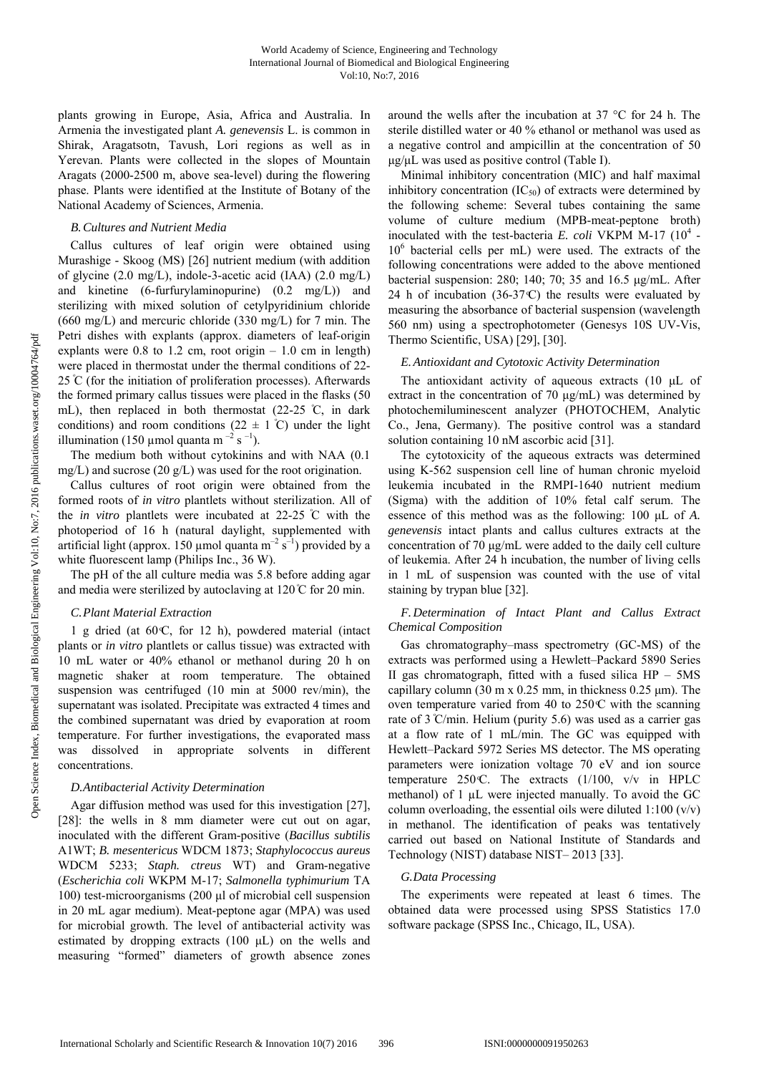plants growing in Europe, Asia, Africa and Australia. In Armenia the investigated plant *A. genevensis* L. is common in Shirak, Aragatsotn, Tavush, Lori regions as well as in Yerevan. Plants were collected in the slopes of Mountain Aragats (2000-2500 m, above sea-level) during the flowering phase. Plants were identified at the Institute of Botany of the National Academy of Sciences, Armenia.

## *B.Cultures and Nutrient Media*

Callus cultures of leaf origin were obtained using Murashige - Skoog (MS) [26] nutrient medium (with addition of glycine (2.0 mg/L), indole-3-acetic acid (IAA) (2.0 mg/L) and kinetine (6-furfurylaminopurine) (0.2 mg/L)) and sterilizing with mixed solution of cetylpyridinium chloride (660 mg/L) and mercuric chloride (330 mg/L) for 7 min. The Petri dishes with explants (approx. diameters of leaf-origin explants were  $0.8$  to  $1.2$  cm, root origin  $-1.0$  cm in length) were placed in thermostat under the thermal conditions of 22- 25  $\degree$ C (for the initiation of proliferation processes). Afterwards the formed primary callus tissues were placed in the flasks (50 mL), then replaced in both thermostat (22-25 °C, in dark conditions) and room conditions ( $22 \pm 1^{\circ}$ C) under the light illumination (150 µmol quanta m<sup>-2</sup> s<sup>-1</sup>).

The medium both without cytokinins and with NAA (0.1 mg/L) and sucrose (20 g/L) was used for the root origination.

Callus cultures of root origin were obtained from the formed roots of *in vitro* plantlets without sterilization. All of the *in vitro* plantlets were incubated at  $22-25$  °C with the photoperiod of 16 h (natural daylight, supplemented with artificial light (approx. 150 µmol quanta  $m^{-2}$  s<sup>-1</sup>) provided by a white fluorescent lamp (Philips Inc., 36 W).

The pH of the all culture media was 5.8 before adding agar and media were sterilized by autoclaving at  $120^{\circ}$ C for 20 min.

#### *C.Plant Material Extraction*

1 g dried (at  $60 \text{ C}$ , for 12 h), powdered material (intact plants or *in vitro* plantlets or callus tissue) was extracted with 10 mL water or 40% ethanol or methanol during 20 h on magnetic shaker at room temperature. The obtained suspension was centrifuged (10 min at 5000 rev/min), the supernatant was isolated. Precipitate was extracted 4 times and the combined supernatant was dried by evaporation at room temperature. For further investigations, the evaporated mass was dissolved in appropriate solvents in different concentrations.

### *D.Antibacterial Activity Determination*

Agar diffusion method was used for this investigation [27], [28]: the wells in 8 mm diameter were cut out on agar, inoculated with the different Gram-positive (*Bacillus subtilis* A1WT; *B. mesentericus* WDCM 1873; *Staphylococcus aureus* WDCM 5233; *Staph. ctreus* WT) and Gram-negative (*Escherichia coli* WKPM M-17; *Salmonella typhimurium* TA 100) test-microorganisms (200 μl of microbial cell suspension in 20 mL agar medium). Meat-peptone agar (MPA) was used for microbial growth. The level of antibacterial activity was estimated by dropping extracts (100 μL) on the wells and measuring "formed" diameters of growth absence zones around the wells after the incubation at 37 °C for 24 h. The sterile distilled water or 40 % ethanol or methanol was used as a negative control and ampicillin at the concentration of 50 μg/μL was used as positive control (Table I).

Minimal inhibitory concentration (MIC) and half maximal inhibitory concentration  $(IC_{50})$  of extracts were determined by the following scheme: Several tubes containing the same volume of culture medium (MPB-meat-peptone broth) inoculated with the test-bacteria *E. coli* VKPM M-17 (10<sup>4</sup> -106 bacterial cells per mL) were used. The extracts of the following concentrations were added to the above mentioned bacterial suspension: 280; 140; 70; 35 and 16.5 μg/mL. After 24 h of incubation  $(36-37 \text{ C})$  the results were evaluated by measuring the absorbance of bacterial suspension (wavelength 560 nm) using a spectrophotometer (Genesys 10S UV-Vis, Thermo Scientific, USA) [29], [30].

### *E.Antioxidant and Cytotoxic Activity Determination*

The antioxidant activity of aqueous extracts (10 μL of extract in the concentration of 70 μg/mL) was determined by photochemiluminescent analyzer (PHOTOCHEM, Analytic Co., Jena, Germany). The positive control was a standard solution containing 10 nM ascorbic acid [31].

The cytotoxicity of the aqueous extracts was determined using K-562 suspension cell line of human chronic myeloid leukemia incubated in the RMPI-1640 nutrient medium (Sigma) with the addition of 10% fetal calf serum. The essence of this method was as the following: 100 μL of *A. genevensis* intact plants and callus cultures extracts at the concentration of 70 μg/mL were added to the daily cell culture of leukemia. After 24 h incubation, the number of living cells in 1 mL of suspension was counted with the use of vital staining by trypan blue [32].

## *F.Determination of Intact Plant and Callus Extract Chemical Composition*

Gas chromatography–mass spectrometry (GC-MS) of the extracts was performed using a Hewlett–Packard 5890 Series II gas chromatograph, fitted with a fused silica  $HP - 5MS$ capillary column (30 m x  $0.25$  mm, in thickness  $0.25$  µm). The oven temperature varied from 40 to  $250\text{C}$  with the scanning rate of 3 °C/min. Helium (purity 5.6) was used as a carrier gas at a flow rate of 1 mL/min. The GC was equipped with Hewlett–Packard 5972 Series MS detector. The MS operating parameters were ionization voltage 70 eV and ion source temperature 250 °C. The extracts  $(1/100, v/v)$  in HPLC methanol) of 1 µL were injected manually. To avoid the GC column overloading, the essential oils were diluted  $1:100 \, (v/v)$ in methanol. The identification of peaks was tentatively carried out based on National Institute of Standards and Technology (NIST) database NIST– 2013 [33].

## *G.Data Processing*

The experiments were repeated at least 6 times. The obtained data were processed using SPSS Statistics 17.0 software package (SPSS Inc., Chicago, IL, USA).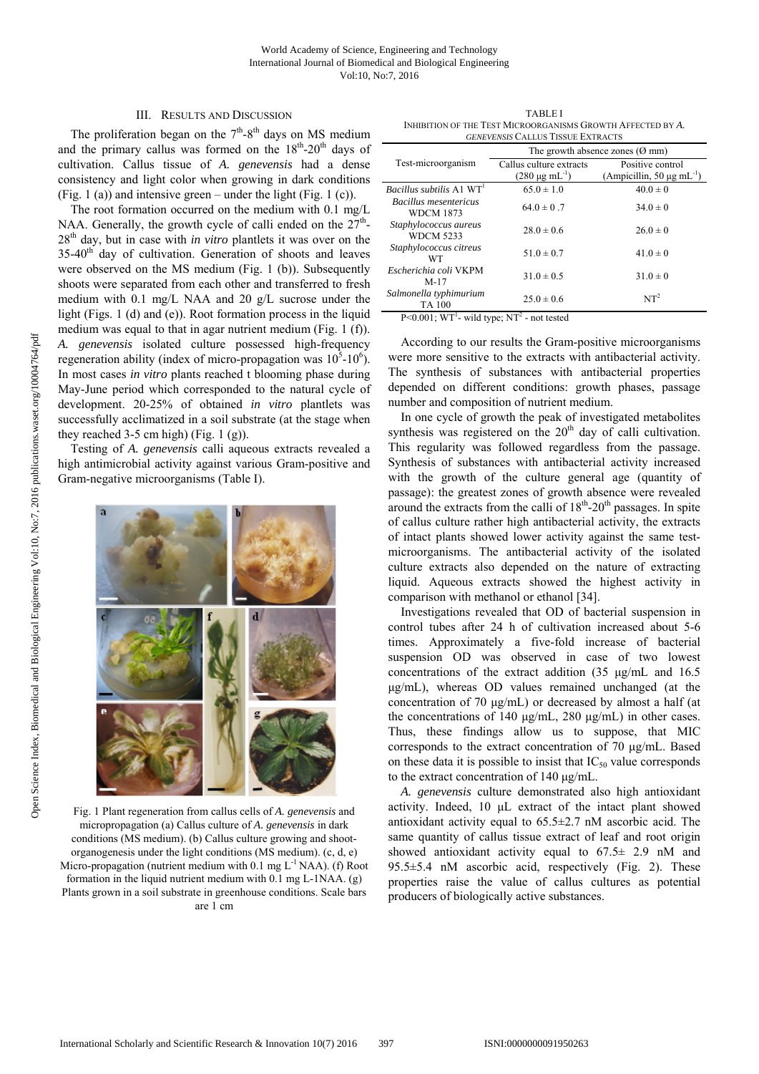## III. RESULTS AND DISCUSSION

The proliferation began on the  $7<sup>th</sup>-8<sup>th</sup>$  days on MS medium and the primary callus was formed on the  $18<sup>th</sup>$ -20<sup>th</sup> days of cultivation. Callus tissue of *A. genevensis* had a dense consistency and light color when growing in dark conditions (Fig. 1 (a)) and intensive green – under the light (Fig. 1 (c)).

The root formation occurred on the medium with 0.1 mg/L NAA. Generally, the growth cycle of calli ended on the  $27<sup>th</sup>$ -28th day, but in case with *in vitro* plantlets it was over on the 35-40<sup>th</sup> day of cultivation. Generation of shoots and leaves were observed on the MS medium (Fig. 1 (b)). Subsequently shoots were separated from each other and transferred to fresh medium with 0.1 mg/L NAA and 20 g/L sucrose under the light (Figs. 1 (d) and (e)). Root formation process in the liquid medium was equal to that in agar nutrient medium (Fig. 1 (f)). *A. genevensis* isolated culture possessed high-frequency regeneration ability (index of micro-propagation was  $10^5$ - $10^6$ ). In most cases *in vitro* plants reached t blooming phase during May-June period which corresponded to the natural cycle of development. 20-25% of obtained *in vitro* plantlets was successfully acclimatized in a soil substrate (at the stage when they reached 3-5 cm high) (Fig. 1 (g)).

Testing of *A. genevensis* calli aqueous extracts revealed a high antimicrobial activity against various Gram-positive and Gram-negative microorganisms (Table I).



Fig. 1 Plant regeneration from callus cells of *A. genevensis* and micropropagation (a) Callus culture of *A. genevensis* in dark conditions (MS medium). (b) Callus culture growing and shootorganogenesis under the light conditions (MS medium). (c, d, e) Micro-propagation (nutrient medium with 0.1 mg  $L^{-1}NAA$ ). (f) Root formation in the liquid nutrient medium with 0.1 mg L-1NAA. (g) Plants grown in a soil substrate in greenhouse conditions. Scale bars are 1 cm

TABLE I INHIBITION OF THE TEST MICROORGANISMS GROWTH AFFECTED BY *A. GENEVENSIS* CALLUS TISSUE EXTRACTS

| <i>GENEVENSIS</i> CALLUS TISSUE EXTRACTS  |                                           |                                            |
|-------------------------------------------|-------------------------------------------|--------------------------------------------|
|                                           | The growth absence zones $(\emptyset$ mm) |                                            |
| Test-microorganism                        | Callus culture extracts                   | Positive control                           |
|                                           | $(280 \mu g \text{ mL}^{-1})$             | (Ampicillin, 50 $\mu$ g mL <sup>-1</sup> ) |
| <i>Bacillus subtilis</i> A1 $WT1$         | $65.0 \pm 1.0$                            | $40.0 \pm 0$                               |
| Bacillus mesentericus<br><b>WDCM 1873</b> | $64.0 \pm 0.7$                            | $34.0 \pm 0$                               |
| Staphylococcus aureus<br><b>WDCM 5233</b> | $28.0 \pm 0.6$                            | $26.0 \pm 0$                               |
| Staphylococcus citreus<br>WТ              | $51.0 \pm 0.7$                            | $41.0 \pm 0$                               |
| Escherichia coli VKPM<br>$M-17$           | $31.0 \pm 0.5$                            | $31.0 \pm 0$                               |
| Salmonella typhimurium<br><b>TA 100</b>   | $25.0 \pm 0.6$                            | NT <sup>2</sup>                            |

 $P \le 0.001$ ; WT<sup>1</sup>- wild type; NT<sup>2</sup> - not tested

According to our results the Gram-positive microorganisms were more sensitive to the extracts with antibacterial activity. The synthesis of substances with antibacterial properties depended on different conditions: growth phases, passage number and composition of nutrient medium.

In one cycle of growth the peak of investigated metabolites synthesis was registered on the  $20<sup>th</sup>$  day of calli cultivation. This regularity was followed regardless from the passage. Synthesis of substances with antibacterial activity increased with the growth of the culture general age (quantity of passage): the greatest zones of growth absence were revealed around the extracts from the calli of  $18<sup>th</sup>$ -20<sup>th</sup> passages. In spite of callus culture rather high antibacterial activity, the extracts of intact plants showed lower activity against the same testmicroorganisms. The antibacterial activity of the isolated culture extracts also depended on the nature of extracting liquid. Aqueous extracts showed the highest activity in comparison with methanol or ethanol [34].

Investigations revealed that OD of bacterial suspension in control tubes after 24 h of cultivation increased about 5-6 times. Approximately a five-fold increase of bacterial suspension OD was observed in case of two lowest concentrations of the extract addition (35 μg/mL and 16.5 μg/mL), whereas OD values remained unchanged (at the concentration of 70 μg/mL) or decreased by almost a half (at the concentrations of 140 μg/mL, 280 μg/mL) in other cases. Thus, these findings allow us to suppose, that MIC corresponds to the extract concentration of 70 μg/mL. Based on these data it is possible to insist that  $IC_{50}$  value corresponds to the extract concentration of 140 μg/mL.

*A. genevensis* culture demonstrated also high antioxidant activity. Indeed, 10 μL extract of the intact plant showed antioxidant activity equal to 65.5±2.7 nM ascorbic acid. The same quantity of callus tissue extract of leaf and root origin showed antioxidant activity equal to  $67.5 \pm 2.9$  nM and 95.5±5.4 nM ascorbic acid, respectively (Fig. 2). These properties raise the value of callus cultures as potential producers of biologically active substances.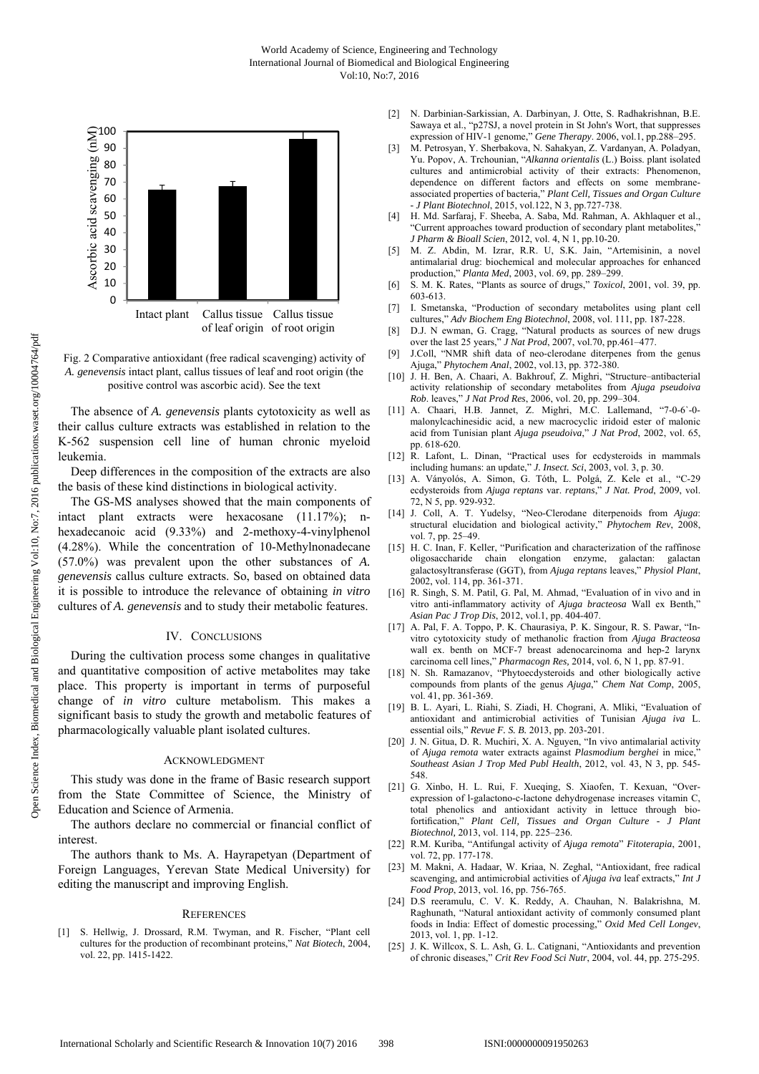

Fig. 2 Comparative antioxidant (free radical scavenging) activity of *A. genevensis* intact plant, callus tissues of leaf and root origin (the positive control was ascorbic acid). See the text

The absence of *A. genevensis* plants cytotoxicity as well as their callus culture extracts was established in relation to the K-562 suspension cell line of human chronic myeloid leukemia.

Deep differences in the composition of the extracts are also the basis of these kind distinctions in biological activity.

The GS-MS analyses showed that the main components of intact plant extracts were hexacosane (11.17%); nhexadecanoic acid (9.33%) and 2-methoxy-4-vinylphenol (4.28%). While the concentration of 10-Methylnonadecane (57.0%) was prevalent upon the other substances of *A. genevensis* callus culture extracts. So, based on obtained data it is possible to introduce the relevance of obtaining *in vitro* cultures of *A. genevensis* and to study their metabolic features.

#### IV. CONCLUSIONS

During the cultivation process some changes in qualitative and quantitative composition of active metabolites may take place. This property is important in terms of purposeful change of *in vitro* culture metabolism. This makes a significant basis to study the growth and metabolic features of pharmacologically valuable plant isolated cultures.

#### ACKNOWLEDGMENT

This study was done in the frame of Basic research support from the State Committee of Science, the Ministry of Education and Science of Armenia.

The authors declare no commercial or financial conflict of interest.

The authors thank to Ms. A. Hayrapetyan (Department of Foreign Languages, Yerevan State Medical University) for editing the manuscript and improving English.

#### **REFERENCES**

[1] S. Hellwig, J. Drossard, R.M. Twyman, and R. Fischer, "Plant cell cultures for the production of recombinant proteins," *Nat Biotech*, 2004, vol. 22, pp. 1415-1422.

- [2] N. Darbinian-Sarkissian, A. Darbinyan, J. Otte, S. Radhakrishnan, B.E. Sawaya et al., "p27SJ, a novel protein in St John's Wort, that suppresses expression of HIV-1 genome," *Gene Therapy*. 2006, vol.1, pp.288–295.
- [3] M. Petrosyan, Y. Sherbakova, N. Sahakyan, Z. Vardanyan, A. Poladyan, Yu. Popov, A. Trchounian, "*Alkanna orientalis* (L.) Boiss. plant isolated cultures and antimicrobial activity of their extracts: Phenomenon, dependence on different factors and effects on some membraneassociated properties of bacteria," *Plant Cell, Tissues and Organ Culture - J Plant Biotechnol*, 2015, vol.122, N 3, pp.727-738.
- [4] H. Md. Sarfaraj, F. Sheeba, A. Saba, Md. Rahman, A. Akhlaquer et al., "Current approaches toward production of secondary plant metabolites," *J Pharm & Bioall Scien*, 2012, vol. 4, N 1, pp.10-20.
- [5] M. Z. Abdin, M. Izrar, R.R. U, S.K. Jain, "Artemisinin, a novel antimalarial drug: biochemical and molecular approaches for enhanced production," *Planta Med*, 2003, vol. 69, pp. 289–299.
- [6] S. M. K. Rates, "Plants as source of drugs," *Toxicol*, 2001, vol. 39, pp. 603-613.
- [7] I. Smetanska, "Production of secondary metabolites using plant cell cultures," *Adv Biochem Eng Biotechnol*, 2008, vol. 111, pp. 187-228.
- [8] D.J. N ewman, G. Cragg, "Natural products as sources of new drugs over the last 25 years," *J Nat Prod*, 2007, vol.70, pp.461–477.
- [9] J.Coll, "NMR shift data of neo-clerodane diterpenes from the genus Ajuga," *Phytochem Anal*, 2002, vol.13, pp. 372-380.
- [10] J. H. Ben, A. Chaari, A. Bakhrouf, Z. Mighri, "Structure–antibacterial activity relationship of secondary metabolites from *Ajuga pseudoiva Rob*. leaves," *J Nat Prod Res*, 2006, vol. 20, pp. 299–304.
- [11] A. Chaari, H.B. Jannet, Z. Mighri, M.C. Lallemand, "7-0-6`-0 malonylcachinesidic acid, a new macrocyclic iridoid ester of malonic acid from Tunisian plant *Ajuga pseudoiva*," *J Nat Prod*, 2002, vol. 65, pp. 618-620.
- [12] R. Lafont, L. Dinan, "Practical uses for ecdysteroids in mammals including humans: an update," *J. Insect. Sci*, 2003, vol. 3, p. 30.
- [13] A. Ványolós, A. Simon, G. Tóth, L. Polgá, Z. Kele et al., "C-29 ecdysteroids from *Ajuga reptans* var. *reptans*," *J Nat. Prod*, 2009, vol. 72, N 5, pp. 929-932.
- [14] J. Coll, A. T. Yudelsy, "Neo-Clerodane diterpenoids from *Ajuga*: structural elucidation and biological activity," *Phytochem Rev*, 2008, vol. 7, pp. 25–49.
- [15] H. C. Inan, F. Keller, "Purification and characterization of the raffinose oligosaccharide chain elongation enzyme, galactan: galactan galactosyltransferase (GGT), from *Ajuga reptans* leaves," *Physiol Plant*, 2002, vol. 114, pp. 361-371.
- [16] R. Singh, S. M. Patil, G. Pal, M. Ahmad, "Evaluation of in vivo and in vitro anti-inflammatory activity of *Ajuga bracteosa* Wall ex Benth," *Asian Pac J Trop Dis*, 2012, vol.1, pp. 404-407.
- [17] A. Pal, F. A. Toppo, P. K. Chaurasiya, P. K. Singour, R. S. Pawar, "Invitro cytotoxicity study of methanolic fraction from *Ajuga Bracteosa* wall ex. benth on MCF-7 breast adenocarcinoma and hep-2 larynx carcinoma cell lines," *Pharmacogn Res,* 2014, vol. 6, N 1, pp. 87-91.
- [18] N. Sh. Ramazanov, "Phytoecdysteroids and other biologically active compounds from plants of the genus *Ajuga*," *Chem Nat Comp*, 2005, vol. 41, pp. 361-369.
- [19] B. L. Ayari, L. Riahi, S. Ziadi, H. Chograni, A. Mliki, "Evaluation of antioxidant and antimicrobial activities of Tunisian *Ajuga iva* L. essential oils," *Revue F. S. B.* 2013, pp. 203-201.
- [20] J. N. Gitua, D. R. Muchiri, X. A. Nguyen, "In vivo antimalarial activity of *Ajuga remota* water extracts against *Plasmodium berghei* in mice, *Southeast Asian J Trop Med Publ Health*, 2012, vol. 43, N 3, pp. 545- 548.
- [21] G. Xinbo, H. L. Rui, F. Xueqing, S. Xiaofen, T. Kexuan, "Overexpression of l-galactono-c-lactone dehydrogenase increases vitamin C, total phenolics and antioxidant activity in lettuce through biofortification," *Plant Cell, Tissues and Organ Culture - J Plant Biotechnol,* 2013, vol. 114, pp. 225–236.
- [22] R.M. Kuriba, "Antifungal activity of *Ajuga remota*" *Fitoterapia*, 2001, vol. 72, pp. 177-178.
- [23] M. Makni, A. Hadaar, W. Kriaa, N. Zeghal, "Antioxidant, free radical scavenging, and antimicrobial activities of *Ajuga iva* leaf extracts," *Int J Food Prop*, 2013, vol. 16, pp. 756-765.
- [24] D.S reeramulu, C. V. K. Reddy, A. Chauhan, N. Balakrishna, M. Raghunath, "Natural antioxidant activity of commonly consumed plant foods in India: Effect of domestic processing," *Oxid Med Cell Longev*, 2013, vol. 1, pp. 1-12.
- [25] J. K. Willcox, S. L. Ash, G. L. Catignani, "Antioxidants and prevention of chronic diseases," *Crit Rev Food Sci Nutr*, 2004, vol. 44, pp. 275-295.